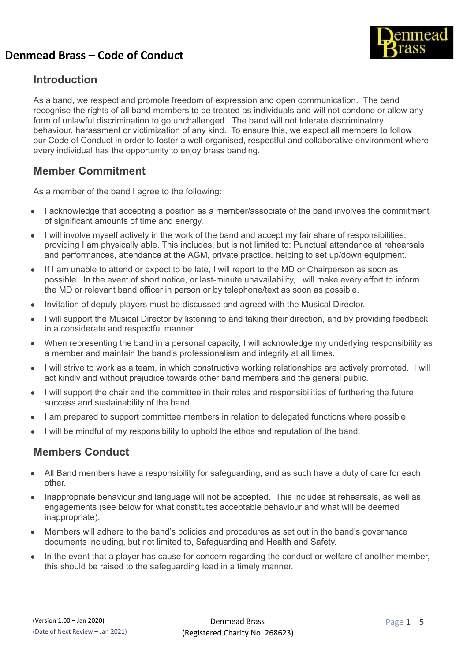

#### **Introduction**

As a band, we respect and promote freedom of expression and open communication. The band recognise the rights of all band members to be treated as individuals and will not condone or allow any form of unlawful discrimination to go unchallenged. The band will not tolerate discriminatory behaviour, harassment or victimization of any kind. To ensure this, we expect all members to follow our Code of Conduct in order to foster a well-organised, respectful and collaborative environment where every individual has the opportunity to enjoy brass banding.

## **Member Commitment**

As a member of the band I agree to the following:

- I acknowledge that accepting a position as a member/associate of the band involves the commitment of significant amounts of time and energy.
- I will involve myself actively in the work of the band and accept my fair share of responsibilities, providing I am physically able. This includes, but is not limited to: Punctual attendance at rehearsals and performances, attendance at the AGM, private practice, helping to set up/down equipment.
- If I am unable to attend or expect to be late, I will report to the MD or Chairperson as soon as possible. In the event of short notice, or last-minute unavailability, I will make every effort to inform the MD or relevant band officer in person or by telephone/text as soon as possible.
- Invitation of deputy players must be discussed and agreed with the Musical Director.
- I will support the Musical Director by listening to and taking their direction, and by providing feedback in a considerate and respectful manner.
- When representing the band in a personal capacity, I will acknowledge my underlying responsibility as a member and maintain the band's professionalism and integrity at all times.
- I will strive to work as a team, in which constructive working relationships are actively promoted. I will act kindly and without prejudice towards other band members and the general public.
- I will support the chair and the committee in their roles and responsibilities of furthering the future success and sustainability of the band.
- I am prepared to support committee members in relation to delegated functions where possible.
- I will be mindful of my responsibility to uphold the ethos and reputation of the band.

## **Members Conduct**

- All Band members have a responsibility for safeguarding, and as such have a duty of care for each other.
- Inappropriate behaviour and language will not be accepted. This includes at rehearsals, as well as engagements (see below for what constitutes acceptable behaviour and what will be deemed inappropriate).
- Members will adhere to the band's policies and procedures as set out in the band's governance documents including, but not limited to, Safeguarding and Health and Safety.
- In the event that a player has cause for concern regarding the conduct or welfare of another member, this should be raised to the safeguarding lead in a timely manner.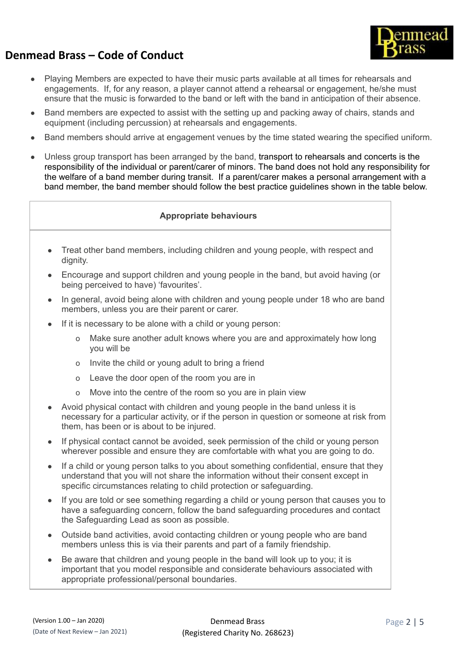

- Playing Members are expected to have their music parts available at all times for rehearsals and engagements. If, for any reason, a player cannot attend a rehearsal or engagement, he/she must ensure that the music is forwarded to the band or left with the band in anticipation of their absence.
- Band members are expected to assist with the setting up and packing away of chairs, stands and equipment (including percussion) at rehearsals and engagements.
- Band members should arrive at engagement venues by the time stated wearing the specified uniform.
- Unless group transport has been arranged by the band, transport to rehearsals and concerts is the responsibility of the individual or parent/carer of minors. The band does not hold any responsibility for the welfare of a band member during transit. If a parent/carer makes a personal arrangement with a band member, the band member should follow the best practice guidelines shown in the table below.

#### **Appropriate behaviours**

- Treat other band members, including children and young people, with respect and dignity.
- Encourage and support children and young people in the band, but avoid having (or being perceived to have) 'favourites'.
- In general, avoid being alone with children and young people under 18 who are band members, unless you are their parent or carer.
- If it is necessary to be alone with a child or young person:
	- o Make sure another adult knows where you are and approximately how long you will be
	- o Invite the child or young adult to bring a friend
	- o Leave the door open of the room you are in
	- o Move into the centre of the room so you are in plain view
- Avoid physical contact with children and young people in the band unless it is necessary for a particular activity, or if the person in question or someone at risk from them, has been or is about to be injured.
- If physical contact cannot be avoided, seek permission of the child or young person wherever possible and ensure they are comfortable with what you are going to do.
- If a child or young person talks to you about something confidential, ensure that they understand that you will not share the information without their consent except in specific circumstances relating to child protection or safeguarding.
- If you are told or see something regarding a child or young person that causes you to have a safeguarding concern, follow the band safeguarding procedures and contact the Safeguarding Lead as soon as possible.
- Outside band activities, avoid contacting children or young people who are band members unless this is via their parents and part of a family friendship.
- Be aware that children and young people in the band will look up to you; it is important that you model responsible and considerate behaviours associated with appropriate professional/personal boundaries.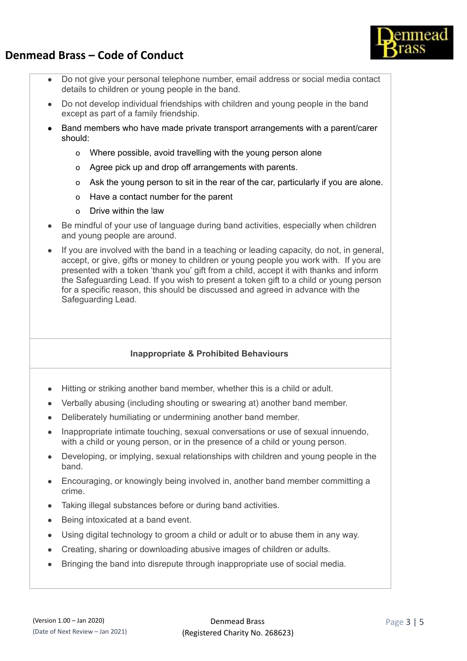



- Do not give your personal telephone number, email address or social media contact details to children or young people in the band.
- Do not develop individual friendships with children and young people in the band except as part of a family friendship.
- Band members who have made private transport arrangements with a parent/carer should:
	- o Where possible, avoid travelling with the young person alone
	- o Agree pick up and drop off arrangements with parents.
	- o Ask the young person to sit in the rear of the car, particularly if you are alone.
	- o Have a contact number for the parent
	- o Drive within the law
- Be mindful of your use of language during band activities, especially when children and young people are around.
- If you are involved with the band in a teaching or leading capacity, do not, in general, accept, or give, gifts or money to children or young people you work with. If you are presented with a token 'thank you' gift from a child, accept it with thanks and inform the Safeguarding Lead. If you wish to present a token gift to a child or young person for a specific reason, this should be discussed and agreed in advance with the Safeguarding Lead.

#### **Inappropriate & Prohibited Behaviours**

- Hitting or striking another band member, whether this is a child or adult.
- Verbally abusing (including shouting or swearing at) another band member.
- Deliberately humiliating or undermining another band member.
- Inappropriate intimate touching, sexual conversations or use of sexual innuendo, with a child or young person, or in the presence of a child or young person.
- Developing, or implying, sexual relationships with children and young people in the band.
- Encouraging, or knowingly being involved in, another band member committing a crime.
- Taking illegal substances before or during band activities.
- Being intoxicated at a band event.
- Using digital technology to groom a child or adult or to abuse them in any way.
- Creating, sharing or downloading abusive images of children or adults.
- Bringing the band into disrepute through inappropriate use of social media.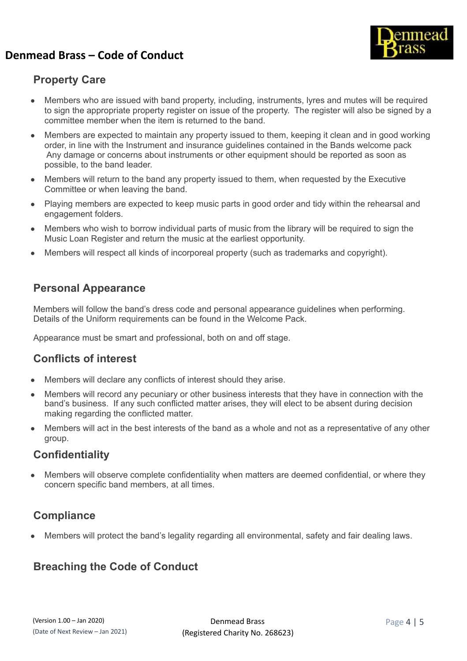

## **Property Care**

- Members who are issued with band property, including, instruments, lyres and mutes will be required to sign the appropriate property register on issue of the property. The register will also be signed by a committee member when the item is returned to the band.
- Members are expected to maintain any property issued to them, keeping it clean and in good working order, in line with the Instrument and insurance guidelines contained in the Bands welcome pack Any damage or concerns about instruments or other equipment should be reported as soon as possible, to the band leader.
- Members will return to the band any property issued to them, when requested by the Executive Committee or when leaving the band.
- Playing members are expected to keep music parts in good order and tidy within the rehearsal and engagement folders.
- Members who wish to borrow individual parts of music from the library will be required to sign the Music Loan Register and return the music at the earliest opportunity.
- Members will respect all kinds of incorporeal property (such as trademarks and copyright).

#### **Personal Appearance**

Members will follow the band's dress code and personal appearance guidelines when performing. Details of the Uniform requirements can be found in the Welcome Pack.

Appearance must be smart and professional, both on and off stage.

#### **Conflicts of interest**

- Members will declare any conflicts of interest should they arise.
- Members will record any pecuniary or other business interests that they have in connection with the band's business. If any such conflicted matter arises, they will elect to be absent during decision making regarding the conflicted matter.
- Members will act in the best interests of the band as a whole and not as a representative of any other group.

#### **Confidentiality**

Members will observe complete confidentiality when matters are deemed confidential, or where they concern specific band members, at all times.

## **Compliance**

Members will protect the band's legality regarding all environmental, safety and fair dealing laws.

# **Breaching the Code of Conduct**